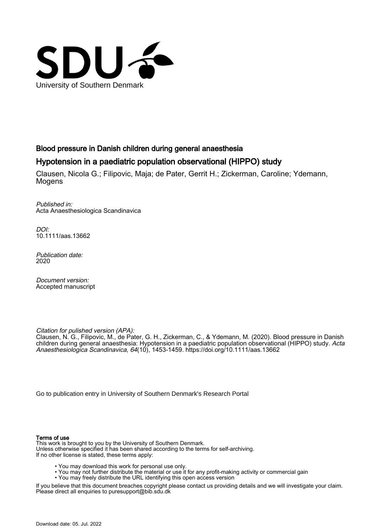

# Blood pressure in Danish children during general anaesthesia

# Hypotension in a paediatric population observational (HIPPO) study

Clausen, Nicola G.; Filipovic, Maja; de Pater, Gerrit H.; Zickerman, Caroline; Ydemann, Mogens

Published in: Acta Anaesthesiologica Scandinavica

DOI: [10.1111/aas.13662](https://doi.org/10.1111/aas.13662)

Publication date: 2020

Document version: Accepted manuscript

Citation for pulished version (APA):

Clausen, N. G., Filipovic, M., de Pater, G. H., Zickerman, C., & Ydemann, M. (2020). Blood pressure in Danish children during general anaesthesia: Hypotension in a paediatric population observational (HIPPO) study. Acta Anaesthesiologica Scandinavica, 64(10), 1453-1459. <https://doi.org/10.1111/aas.13662>

[Go to publication entry in University of Southern Denmark's Research Portal](https://portal.findresearcher.sdu.dk/en/publications/d1657de9-97b8-4109-96ee-6433bdc97b3a)

#### Terms of use

This work is brought to you by the University of Southern Denmark. Unless otherwise specified it has been shared according to the terms for self-archiving. If no other license is stated, these terms apply:

- You may download this work for personal use only.
- You may not further distribute the material or use it for any profit-making activity or commercial gain
- You may freely distribute the URL identifying this open access version

If you believe that this document breaches copyright please contact us providing details and we will investigate your claim. Please direct all enquiries to puresupport@bib.sdu.dk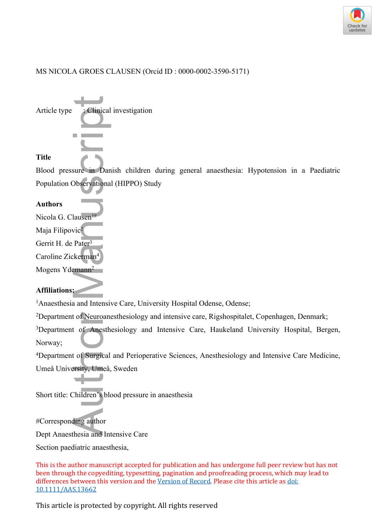

# MS NICOLA GROES CLAUSEN (Orcid ID : 0000-0002-3590-5171)



Blood pressure in Danish children during general anaesthesia: Hypotension in a Paediatric Population Observational (HIPPO) Study

### **Authors**

Nicola G. Clausen

Maja Filipovic<sup>2</sup>

Gerrit H. de Pater<sup>3</sup>

Caroline Zickerman<sup>4</sup>

Mogens Ydemann<sup>2</sup>

# **Affiliations:**

<sup>1</sup>Anaesthesia and Intensive Care, University Hospital Odense, Odense;

<sup>2</sup>Department of Neuroanesthesiology and intensive care, Rigshospitalet, Copenhagen, Denmark;

<sup>3</sup>Department of Anesthesiology and Intensive Care, Haukeland University Hospital, Bergen, Norway;

<sup>4</sup>Department of Surgical and Perioperative Sciences, Anesthesiology and Intensive Care Medicine, Umeå University, Umeå, Sweden

Short title: Children's blood pressure in anaesthesia

#Corresponding author

Dept Anaesthesia and Intensive Care

This is the author manuscript accepted for publication and has undergone full peer review but has not been through the copyediting, typesetting, pagination and proofreading process, which may lead to differences between this version and the [Version of Record](https://doi.org/10.1111/AAS.13662). Please cite this article as [doi:](https://doi.org/10.1111/AAS.13662)  [10.1111/AAS.13662](https://doi.org/10.1111/AAS.13662)

This article is protected by copyright. All rights reserved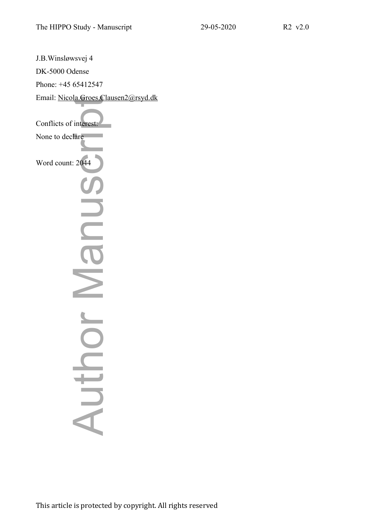J.B.Winsløwsvej 4 DK-5000 Odense Phone: +45 65412547 Email: [Nicola.Groes.Clausen2@rsyd.dk](mailto:Nicola.Groes.Clausen2@rsyd.dk) Conflicts of interest: None to declare Word count: 2044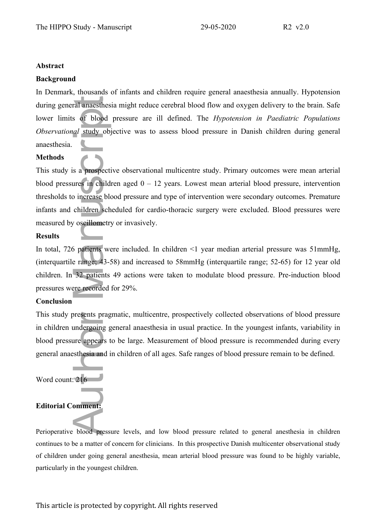#### **Abstract**

#### **Background**

In Denmark, thousands of infants and children require general anaesthesia annually. Hypotension during general anaesthesia might reduce cerebral blood flow and oxygen delivery to the brain. Safe lower limits of blood pressure are ill defined. The *Hypotension in Paediatric Populations Observational* study objective was to assess blood pressure in Danish children during general anaesthesia.

#### **Methods**

This study is a prospective observational multicentre study. Primary outcomes were mean arterial blood pressures in children aged  $0 - 12$  years. Lowest mean arterial blood pressure, intervention thresholds to increase blood pressure and type of intervention were secondary outcomes. Premature infants and children scheduled for cardio-thoracic surgery were excluded. Blood pressures were measured by oscillometry or invasively. during general anaesthesia might<br>lower limits of blood pressure<br>Observational study objective w<br>anaesthesia.<br>**Methods**<br>This study is a **prospective** observational study objective<br>blood pressures in children aged<br>thresholds

#### **Results**

In total, 726 patients were included. In children <1 year median arterial pressure was 51mmHg, (interquartile range; 43-58) and increased to 58mmHg (interquartile range; 52-65) for 12 year old children. In 32 patients 49 actions were taken to modulate blood pressure. Pre-induction blood pressures were recorded for 29%.

#### **Conclusion**

This study presents pragmatic, multicentre, prospectively collected observations of blood pressure in children undergoing general anaesthesia in usual practice. In the youngest infants, variability in blood pressure appears to be large. Measurement of blood pressure is recommended during every general anaesthesia and in children of all ages. Safe ranges of blood pressure remain to be defined.

Word count: 216

# **Editorial Comment:**

Perioperative blood pressure levels, and low blood pressure related to general anesthesia in children continues to be a matter of concern for clinicians. In this prospective Danish multicenter observational study of children under going general anesthesia, mean arterial blood pressure was found to be highly variable,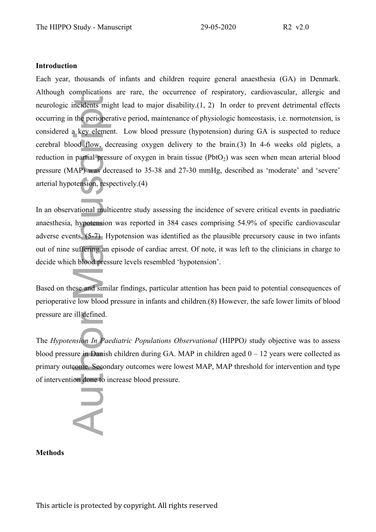#### **Introduction**

Each year, thousands of infants and children require general anaesthesia (GA) in Denmark. Although complications are rare, the occurrence of respiratory, cardiovascular, allergic and neurologic incidents might lead to major disability.(1, 2) In order to prevent detrimental effects occurring in the perioperative period, maintenance of physiologic homeostasis, i.e. normotension, is considered a key element. Low blood pressure (hypotension) during GA is suspected to reduce cerebral blood flow, decreasing oxygen delivery to the brain.(3) In 4-6 weeks old piglets, a reduction in partial pressure of oxygen in brain tissue ( $Pb<sub>1</sub>$ ) was seen when mean arterial blood pressure (MAP) was decreased to 35-38 and 27-30 mmHg, described as 'moderate' and 'severe' arterial hypotension, respectively.(4) ncidents might<br>the perioper<br>a key element<br>ood flow, de<br>partial press<br>AP) was developed<br>tension, respectively<br>attension, respectively<br>attension, respectively<br>attension must be veloped<br>the surfering an<br>the blood press<br>essee

In an observational multicentre study assessing the incidence of severe critical events in paediatric anaesthesia, hypotension was reported in 384 cases comprising 54.9% of specific cardiovascular adverse events*.* (5-7) Hypotension was identified as the plausible precursory cause in two infants out of nine suffering an episode of cardiac arrest. Of note, it was left to the clinicians in charge to decide which blood pressure levels resembled 'hypotension'.

Based on these and similar findings, particular attention has been paid to potential consequences of perioperative low blood pressure in infants and children.(8) However, the safe lower limits of blood pressure are ill defined.

The *Hypotension In Paediatric Populations Observational* (HIPPO) study objective was to assess blood pressure in Danish children during GA. MAP in children aged  $0 - 12$  years were collected as primary outcome. Secondary outcomes were lowest MAP, MAP threshold for intervention and type of intervention done to increase blood pressure.

**Methods**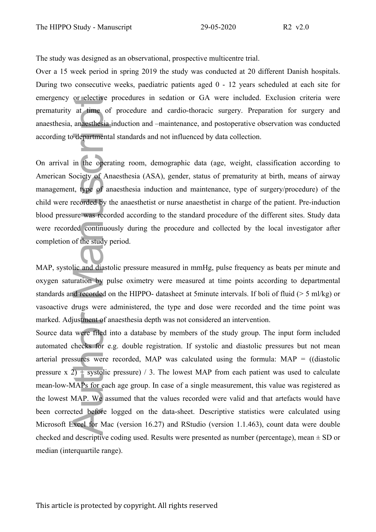The study was designed as an observational, prospective multicentre trial.

Over a 15 week period in spring 2019 the study was conducted at 20 different Danish hospitals. During two consecutive weeks, paediatric patients aged 0 - 12 years scheduled at each site for emergency or elective procedures in sedation or GA were included. Exclusion criteria were prematurity at time of procedure and cardio-thoracic surgery. Preparation for surgery and anaesthesia, anaesthesia induction and –maintenance, and postoperative observation was conducted according to departmental standards and not influenced by data collection.

On arrival in the operating room, demographic data (age, weight, classification according to American Society of Anaesthesia (ASA), gender, status of prematurity at birth, means of airway management, type of anaesthesia induction and maintenance, type of surgery/procedure) of the child were recorded by the anaesthetist or nurse anaesthetist in charge of the patient. Pre-induction blood pressure was recorded according to the standard procedure of the different sites. Study data were recorded continuously during the procedure and collected by the local investigator after completion of the study period.

MAP, systolic and diastolic pressure measured in mmHg, pulse frequency as beats per minute and oxygen saturation by pulse oximetry were measured at time points according to departmental standards and recorded on the HIPPO- datasheet at 5minute intervals. If boli of fluid (> 5 ml/kg) or vasoactive drugs were administered, the type and dose were recorded and the time point was marked. Adjustment of anaesthesia depth was not considered an intervention.

Source data were filed into a database by members of the study group. The input form included automated checks for e.g. double registration. If systolic and diastolic pressures but not mean arterial pressures were recorded, MAP was calculated using the formula:  $MAP = (d iastolic$ pressure x 2) + systolic pressure) / 3. The lowest MAP from each patient was used to calculate mean-low-MAPs for each age group. In case of a single measurement, this value was registered as the lowest MAP. We assumed that the values recorded were valid and that artefacts would have been corrected before logged on the data-sheet. Descriptive statistics were calculated using Microsoft Excel for Mac (version 16.27) and RStudio (version 1.1.463), count data were double checked and descriptive coding used. Results were presented as number (percentage), mean  $\pm$  SD or emergency or elective proor<br>prematurity at time of pr<br>anaesthesia, anaesthesia indu<br>according to departmental st:<br>On arrival in the operating<br>American Society of Anaes<br>management, type of anaes<br>child were recorded by the a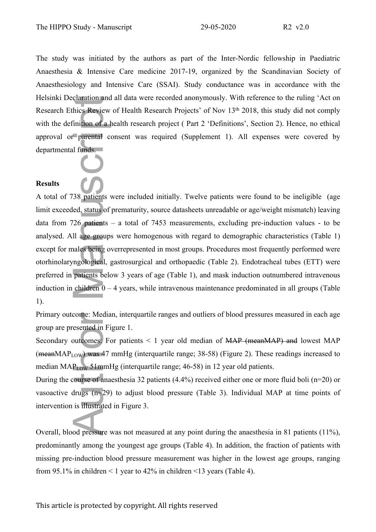The study was initiated by the authors as part of the Inter-Nordic fellowship in Paediatric Anaesthesia & Intensive Care medicine 2017-19, organized by the Scandinavian Society of Anaesthesiology and Intensive Care (SSAI). Study conductance was in accordance with the Helsinki Declaration and all data were recorded anonymously. With reference to the ruling 'Act on Research Ethics Review of Health Research Projects' of Nov 13<sup>th</sup> 2018, this study did not comply with the definition of a health research project (Part 2 'Definitions', Section 2). Hence, no ethical approval or parental consent was required (Supplement 1). All expenses were covered by departmental funds.

# **Results**

A total of 738 patients were included initially. Twelve patients were found to be ineligible (age limit exceeded, status of prematurity, source datasheets unreadable or age/weight mismatch) leaving data from 726 patients – a total of 7453 measurements, excluding pre-induction values - to be analysed. All age groups were homogenous with regard to demographic characteristics (Table 1) except for males being overrepresented in most groups. Procedures most frequently performed were otorhinolaryngological, gastrosurgical and orthopaedic (Table 2). Endotracheal tubes (ETT) were preferred in patients below 3 years of age (Table 1), and mask induction outnumbered intravenous induction in children 0 – 4 years, while intravenous maintenance predominated in all groups (Table 1). From 1 Declaration and all data were recorded anonymously. With reference the procedure of Health Research Projects' of Nov 13\* 2018<br>with the definition of a health research project (Part 2 'Definitions', Sepproval or pare

Primary outcome: Median, interquartile ranges and outliers of blood pressures measured in each age group are presented in Figure 1.

Secondary outcomes: For patients < 1 year old median of MAP (meanMAP) and lowest MAP (meanMAP<sub>LOW</sub>) was 47 mmHg (interquartile range; 38-58) (Figure 2). These readings increased to median  $MAP_{LOW}$  51mmHg (interquartile range; 46-58) in 12 year old patients.

During the course of anaesthesia 32 patients (4.4%) received either one or more fluid boli (n=20) or vasoactive drugs (n=29) to adjust blood pressure (Table 3). Individual MAP at time points of intervention is illustrated in Figure 3.

Overall, blood pressure was not measured at any point during the anaesthesia in 81 patients (11%), predominantly among the youngest age groups (Table 4). In addition, the fraction of patients with missing pre-induction blood pressure measurement was higher in the lowest age groups, ranging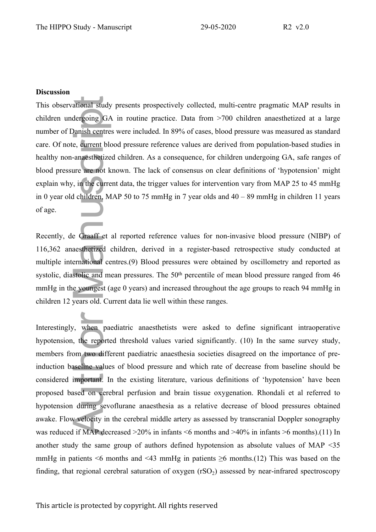#### **Discussion**

This observational study presents prospectively collected, multi-centre pragmatic MAP results in children undergoing GA in routine practice. Data from >700 children anaesthetized at a large number of Danish centres were included. In 89% of cases, blood pressure was measured as standard care. Of note, current blood pressure reference values are derived from population-based studies in healthy non-anaesthetized children. As a consequence, for children undergoing GA, safe ranges of blood pressure are not known. The lack of consensus on clear definitions of 'hypotension' might explain why, in the current data, the trigger values for intervention vary from MAP 25 to 45 mmHg in 0 year old children, MAP 50 to 75 mmHg in 7 year olds and 40 – 89 mmHg in children 11 years of age.

Recently, de Graaff et al reported reference values for non-invasive blood pressure (NIBP) of 116,362 anaesthetized children, derived in a register-based retrospective study conducted at multiple international centres.(9) Blood pressures were obtained by oscillometry and reported as systolic, diastolic and mean pressures. The 50<sup>th</sup> percentile of mean blood pressure ranged from 46 mmHg in the youngest (age 0 years) and increased throughout the age groups to reach 94 mmHg in children 12 years old. Current data lie well within these ranges.

Interestingly, when paediatric anaesthetists were asked to define significant intraoperative hypotension, the reported threshold values varied significantly. (10) In the same survey study, members from two different paediatric anaesthesia societies disagreed on the importance of preinduction baseline values of blood pressure and which rate of decrease from baseline should be considered important. In the existing literature, various definitions of 'hypotension' have been proposed based on cerebral perfusion and brain tissue oxygenation. Rhondali et al referred to hypotension during sevoflurane anaesthesia as a relative decrease of blood pressures obtained awake. Flow velocity in the cerebral middle artery as assessed by transcranial Doppler sonography was reduced if MAP decreased >20% in infants <6 months and >40% in infants >6 months).(11) In another study the same group of authors defined hypotension as absolute values of MAP <35 mmHg in patients  $\leq 6$  months and  $\leq 43$  mmHg in patients  $\geq 6$  months.(12) This was based on the This observational study presents prospectively collected, multi-centre pragmatic MAP results in<br>bilidren undergoing (31A in routine practice. Data from 2-700 children anasothetized at a large<br>number of Damisti centre inc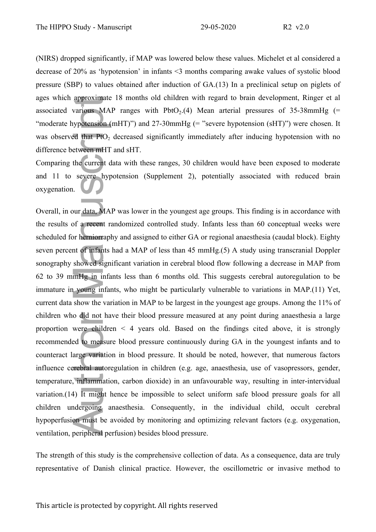(NIRS) dropped significantly, if MAP was lowered below these values. Michelet et al considered a decrease of 20% as 'hypotension' in infants <3 months comparing awake values of systolic blood pressure (SBP) to values obtained after induction of GA.(13) In a preclinical setup on piglets of ages which approximate 18 months old children with regard to brain development, Ringer et al associated various MAP ranges with  $PbtO<sub>2</sub>$ .(4) Mean arterial pressures of 35-38mmHg (= "moderate hypotension (mHT)") and 27-30mmHg (= "severe hypotension (sHT)") were chosen. It was observed that  $P_1$ <sup>2</sup> decreased significantly immediately after inducing hypotension with no difference between mHT and sHT.

Comparing the current data with these ranges, 30 children would have been exposed to moderate and 11 to severe hypotension (Supplement 2), potentially associated with reduced brain oxygenation.

Overall, in our data, MAP was lower in the youngest age groups. This finding is in accordance with the results of a recent randomized controlled study. Infants less than 60 conceptual weeks were scheduled for herniorraphy and assigned to either GA or regional anaesthesia (caudal block). Eighty seven percent of infants had a MAP of less than 45 mmHg.(5) A study using transcranial Doppler sonography showed significant variation in cerebral blood flow following a decrease in MAP from 62 to 39 mmHg in infants less than 6 months old. This suggests cerebral autoregulation to be immature in young infants, who might be particularly vulnerable to variations in MAP.(11) Yet, current data show the variation in MAP to be largest in the youngest age groups. Among the 11% of children who did not have their blood pressure measured at any point during anaesthesia a large proportion were children < 4 years old. Based on the findings cited above, it is strongly recommended to measure blood pressure continuously during GA in the youngest infants and to counteract large variation in blood pressure. It should be noted, however, that numerous factors influence cerebral autoregulation in children (e.g. age, anaesthesia, use of vasopressors, gender, temperature, inflammation, carbon dioxide) in an unfavourable way, resulting in inter-intervidual variation.(14) It might hence be impossible to select uniform safe blood pressure goals for all children undergoing anaesthesia. Consequently, in the individual child, occult cerebral hypoperfusion must be avoided by monitoring and optimizing relevant factors (e.g. oxygenation, ventilation, peripheral perfusion) besides blood pressure. are when the method with the mathematic of Homatham in the garet of Danish clientic or invariant the presentative of Danish clinical practice. The method of the oscillometric or the method to the oscillometric or the oscil

The strength of this study is the comprehensive collection of data. As a consequence, data are truly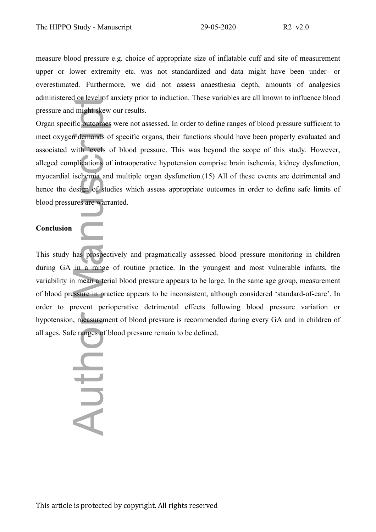measure blood pressure e.g. choice of appropriate size of inflatable cuff and site of measurement upper or lower extremity etc. was not standardized and data might have been under- or overestimated. Furthermore, we did not assess anaesthesia depth, amounts of analgesics administered or level of anxiety prior to induction. These variables are all known to influence blood pressure and might skew our results.

Organ specific outcomes were not assessed. In order to define ranges of blood pressure sufficient to meet oxygen demands of specific organs, their functions should have been properly evaluated and associated with levels of blood pressure. This was beyond the scope of this study. However, alleged complications of intraoperative hypotension comprise brain ischemia, kidney dysfunction, myocardial ischemia and multiple organ dysfunction.(15) All of these events are detrimental and hence the design of studies which assess appropriate outcomes in order to define safe limits of blood pressures are warranted. administered or level of anxiety prior to induction. I hese variations are approximated or definition of specific organs, their functions shared expecting derivations of specific organs, their functions of specific organs,

### **Conclusion**

This study has prospectively and pragmatically assessed blood pressure monitoring in children during GA in a range of routine practice. In the youngest and most vulnerable infants, the variability in mean arterial blood pressure appears to be large. In the same age group, measurement of blood pressure in practice appears to be inconsistent, although considered 'standard-of-care'. In order to prevent perioperative detrimental effects following blood pressure variation or hypotension, measurement of blood pressure is recommended during every GA and in children of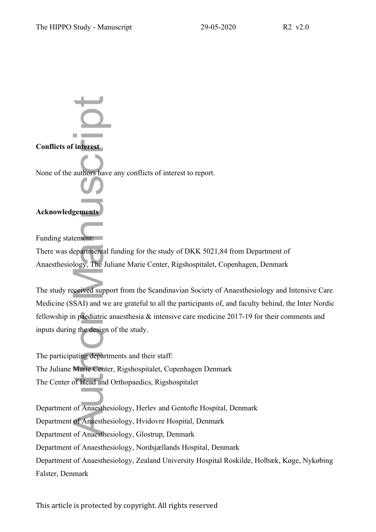**Conflicts of interest** None of the authors have any conflicts of interest to report. **Conflicts of interest<br>
None of the authors have<br>
Acknowledgements<br>
Funding statement:<br>
There was departmental<br>
Anaesthesiology, The Ju<br>
The study received suppo<br>
Medicine (SSAI) and we<br>
fellowship in paediatric a<br>
inputs** 

# **Acknowledgements**

Funding statement:

There was departmental funding for the study of DKK 5021,84 from Department of Anaesthesiology, The Juliane Marie Center, Rigshospitalet, Copenhagen, Denmark

The study received support from the Scandinavian Society of Anaesthesiology and Intensive Care Medicine (SSAI) and we are grateful to all the participants of, and faculty behind, the Inter Nordic fellowship in paediatric anaesthesia & intensive care medicine 2017-19 for their comments and inputs during the design of the study.

The participating departments and their staff: The Juliane Marie Center, Rigshospitalet, Copenhagen Denmark The Center of Head and Orthopaedics, Rigshospitalet

Department of Anaesthesiology, Herlev and Gentofte Hospital, Denmark Department of Anaesthesiology, Hvidovre Hospital, Denmark Department of Anaesthesiology, Glostrup, Denmark Department of Anaesthesiology, Nordsjællands Hospital, Denmark Department of Anaesthesiology, Zealand University Hospital Roskilde, Holbæk, Køge, Nykøbing Falster, Denmark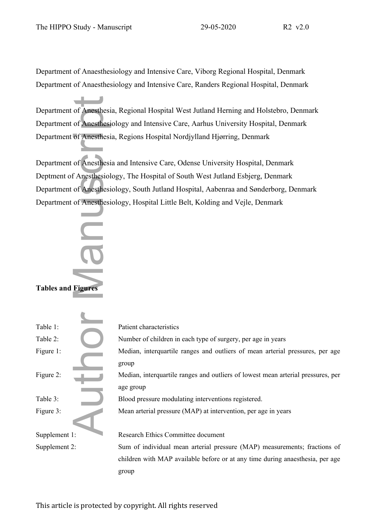Department of Anaesthesiology and Intensive Care, Viborg Regional Hospital, Denmark Department of Anaesthesiology and Intensive Care, Randers Regional Hospital, Denmark

# **Tables and Figures**

|                           | Department of Anesthesia, Regional Hospital West Jutland Herning and Holstebro, Denmark       |
|---------------------------|-----------------------------------------------------------------------------------------------|
|                           | Department of Anesthesiology and Intensive Care, Aarhus University Hospital, Denmark          |
|                           | Department of Anesthesia, Regions Hospital Nordjylland Hjørring, Denmark                      |
|                           |                                                                                               |
|                           | Department of Anesthesia and Intensive Care, Odense University Hospital, Denmark              |
|                           | Deptment of Anesthesiology, The Hospital of South West Jutland Esbjerg, Denmark               |
|                           | Department of Anesthesiology, South Jutland Hospital, Aabenraa and Sønderborg, Denmark        |
|                           | Department of Anesthesiology, Hospital Little Belt, Kolding and Vejle, Denmark                |
| <b>Tables and Figures</b> |                                                                                               |
| Table 1:                  | Patient characteristics                                                                       |
| Table 2:                  | Number of children in each type of surgery, per age in years                                  |
| Figure 1:                 | Median, interquartile ranges and outliers of mean arterial pressures, per age<br>group        |
| Figure 2:                 | Median, interquartile ranges and outliers of lowest mean arterial pressures, per<br>age group |
| Table 3:                  | Blood pressure modulating interventions registered.                                           |
| Figure 3:                 | Mean arterial pressure (MAP) at intervention, per age in years                                |
| Supplement 1:             | Research Ethics Committee document                                                            |
| Supplement 2:             | Sum of individual mean arterial pressure (MAP) measurements; fractions of                     |
|                           | children with MAP available before or at any time during anaesthesia, per age                 |
|                           | group                                                                                         |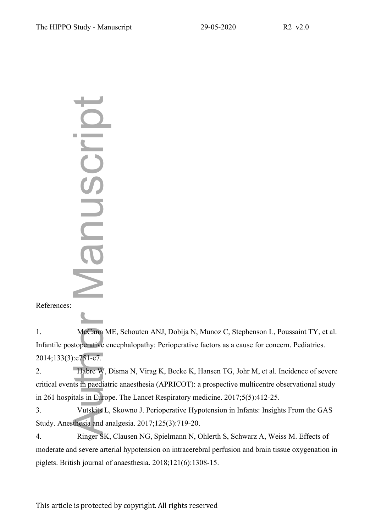**Process:**<br> **Philopheric Science Science Science Science Science Science Science Science Science Science Science Science Science Science Science Science Science Science Science Science Science Science Science Science Scien** 

References:

1. McCann ME, Schouten ANJ, Dobija N, Munoz C, Stephenson L, Poussaint TY, et al. Infantile postoperative encephalopathy: Perioperative factors as a cause for concern. Pediatrics. 2014;133(3):e751-e7.

2. Habre W, Disma N, Virag K, Becke K, Hansen TG, Johr M, et al. Incidence of severe critical events in paediatric anaesthesia (APRICOT): a prospective multicentre observational study in 261 hospitals in Europe. The Lancet Respiratory medicine. 2017;5(5):412-25.

3. Vutskits L, Skowno J. Perioperative Hypotension in Infants: Insights From the GAS Study. Anesthesia and analgesia. 2017;125(3):719-20.

4. Ringer SK, Clausen NG, Spielmann N, Ohlerth S, Schwarz A, Weiss M. Effects of moderate and severe arterial hypotension on intracerebral perfusion and brain tissue oxygenation in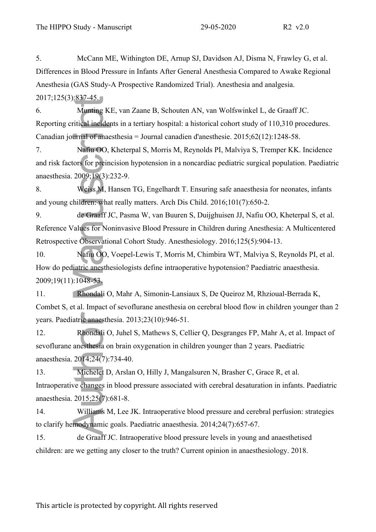5. McCann ME, Withington DE, Arnup SJ, Davidson AJ, Disma N, Frawley G, et al. Differences in Blood Pressure in Infants After General Anesthesia Compared to Awake Regional Anesthesia (GAS Study-A Prospective Randomized Trial). Anesthesia and analgesia. 2017;125(3):837-45.

6. Munting KE, van Zaane B, Schouten AN, van Wolfswinkel L, de Graaff JC. Reporting critical incidents in a tertiary hospital: a historical cohort study of 110,310 procedures. Canadian journal of anaesthesia = Journal canadien d'anesthesie. 2015;62(12):1248-58.

7. Nafiu OO, Kheterpal S, Morris M, Reynolds PI, Malviya S, Tremper KK. Incidence and risk factors for preincision hypotension in a noncardiac pediatric surgical population. Paediatric anaesthesia. 2009;19(3):232-9.

8. Weiss M, Hansen TG, Engelhardt T. Ensuring safe anaesthesia for neonates, infants and young children: what really matters. Arch Dis Child. 2016;101(7):650-2.

9. de Graaff JC, Pasma W, van Buuren S, Duijghuisen JJ, Nafiu OO, Kheterpal S, et al. Reference Values for Noninvasive Blood Pressure in Children during Anesthesia: A Multicentered Retrospective Observational Cohort Study. Anesthesiology. 2016;125(5):904-13.

10. Nafiu OO, Voepel-Lewis T, Morris M, Chimbira WT, Malviya S, Reynolds PI, et al. How do pediatric anesthesiologists define intraoperative hypotension? Paediatric anaesthesia. 2009;19(11):1048-53. 2011/21323.1435.<br>
2011/2324.743. The Winding KF, van Ziame B, Schoutten AN, van Wolfswirkel 1, de Graaff JC.<br>
Reporting critical inedeants in a tertiary hospital: a historical cohort study of 110,310 proc<br>
Canadian jound

11. Rhondali O, Mahr A, Simonin-Lansiaux S, De Queiroz M, Rhzioual-Berrada K, Combet S, et al. Impact of sevoflurane anesthesia on cerebral blood flow in children younger than 2 years. Paediatric anaesthesia. 2013;23(10):946-51.

12. Rhondali O, Juhel S, Mathews S, Cellier Q, Desgranges FP, Mahr A, et al. Impact of sevoflurane anesthesia on brain oxygenation in children younger than 2 years. Paediatric anaesthesia. 2014;24(7):734-40.

13. Michelet D, Arslan O, Hilly J, Mangalsuren N, Brasher C, Grace R, et al. Intraoperative changes in blood pressure associated with cerebral desaturation in infants. Paediatric anaesthesia. 2015;25(7):681-8.

14. Williams M, Lee JK. Intraoperative blood pressure and cerebral perfusion: strategies to clarify hemodynamic goals. Paediatric anaesthesia. 2014;24(7):657-67.

15. de Graaff JC. Intraoperative blood pressure levels in young and anaesthetised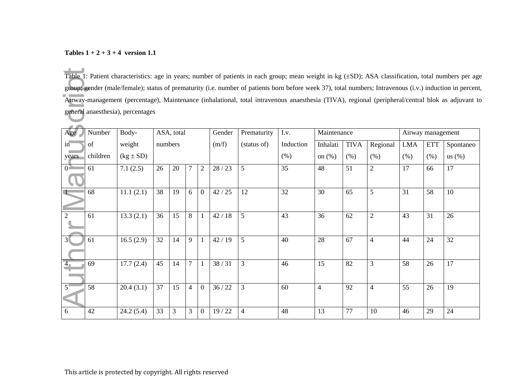# **Tables 1 + 2 + 3 + 4 version 1.1**

| Table 1: Patient characteristics: age in years; number of patients in each group; mean weight in kg $(\pm SD)$ ; ASA classification, total numbers per age |                                                                                                                                                          |               |         |            |                |                |        |                |           |                |             |                |            |                   |           |
|------------------------------------------------------------------------------------------------------------------------------------------------------------|----------------------------------------------------------------------------------------------------------------------------------------------------------|---------------|---------|------------|----------------|----------------|--------|----------------|-----------|----------------|-------------|----------------|------------|-------------------|-----------|
|                                                                                                                                                            | group; gender (male/female); status of prematurity (i.e. number of patients born before week 37), total numbers; Intravenous (i.v.) induction in percent |               |         |            |                |                |        |                |           |                |             |                |            |                   |           |
|                                                                                                                                                            | Airway-management (percentage), Maintenance (inhalational, total intravenous anaesthesia (TIVA), regional (peripheral/central blok as adjuvant to        |               |         |            |                |                |        |                |           |                |             |                |            |                   |           |
|                                                                                                                                                            | general anaesthesia), percentages                                                                                                                        |               |         |            |                |                |        |                |           |                |             |                |            |                   |           |
| Age                                                                                                                                                        | Number                                                                                                                                                   | Body-         |         | ASA, total |                |                | Gender | Prematurity    | I.v.      | Maintenance    |             |                |            | Airway management |           |
| in                                                                                                                                                         | of                                                                                                                                                       | weight        | numbers |            |                |                | (m/f)  | (status of)    | Induction | Inhalati       | <b>TIVA</b> | Regional       | <b>LMA</b> | <b>ETT</b>        | Spontaneo |
| years                                                                                                                                                      | children                                                                                                                                                 | $(kg \pm SD)$ |         |            |                |                |        |                | (% )      | on $(\%)$      | (% )        | (% )           | (% )       | (% )              | us $(\%)$ |
| $0^{\sum}$                                                                                                                                                 | 61                                                                                                                                                       | 7.1(2.5)      | 26      | 20         |                | $\overline{2}$ | 28/23  | 5              | 35        | 48             | 51          | $\overline{2}$ | 17         | 66                | 17        |
|                                                                                                                                                            | 68                                                                                                                                                       | 11.1(2.1)     | 38      | 19         | 6              | $\overline{0}$ | 42/25  | 12             | 32        | 30             | 65          | 5              | 31         | 58                | 10        |
|                                                                                                                                                            | 61                                                                                                                                                       | 13.3(2.1)     | 36      | 15         | 8              | $\mathbf{1}$   | 42/18  | 5              | 43        | 36             | 62          | $\mathbf{2}$   | 43         | 31                | 26        |
|                                                                                                                                                            | 61                                                                                                                                                       | 16.5(2.9)     | 32      | 14         | 9              |                | 42/19  | 5              | 40        | 28             | 67          | $\overline{4}$ | 44         | 24                | 32        |
|                                                                                                                                                            | 69                                                                                                                                                       | 17.7(2.4)     | 45      | 14         | 7              |                | 38/31  | 3              | 46        | 15             | 82          | 3              | 58         | 26                | 17        |
|                                                                                                                                                            | 58                                                                                                                                                       | 20.4(3.1)     | 37      | 15         | $\overline{4}$ | $\overline{0}$ | 36/22  | 3              | 60        | $\overline{4}$ | 92          | $\overline{4}$ | 55         | 26                | 19        |
| 6                                                                                                                                                          | 42                                                                                                                                                       | 24.2(5.4)     | 33      | 3          | 3              | $\overline{0}$ | 19/22  | $\overline{4}$ | 48        | 13             | 77          | 10             | 46         | 29                | 24        |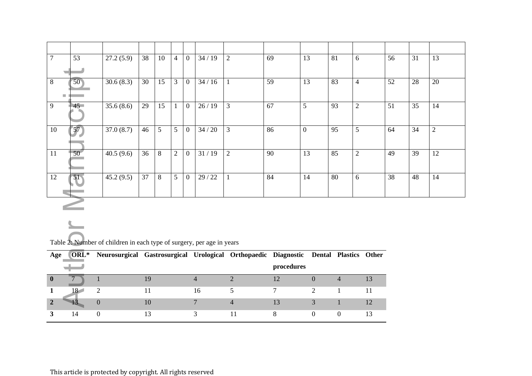| $\overline{7}$ | 53              | 27.2(5.9)                                                                            | 38              | 10              | $\overline{4}$ | $\overline{0}$ | 34/19           | $\overline{2}$ | 69             | 13              | 81               | 6              | 56 | 31              | 13              |
|----------------|-----------------|--------------------------------------------------------------------------------------|-----------------|-----------------|----------------|----------------|-----------------|----------------|----------------|-----------------|------------------|----------------|----|-----------------|-----------------|
|                |                 |                                                                                      |                 |                 |                |                |                 |                |                |                 |                  |                |    |                 |                 |
| $\overline{8}$ | 50 <sub>1</sub> | 30.6(8.3)                                                                            | $\overline{30}$ | $\overline{15}$ | $\overline{3}$ | $\overline{0}$ | $\frac{34}{16}$ |                | 59             | $\overline{13}$ | 83               | $\overline{4}$ | 52 | 28              | $\overline{20}$ |
|                | $\Box$          |                                                                                      |                 |                 |                |                |                 |                |                |                 |                  |                |    |                 |                 |
| 9              | 45              | 35.6(8.6)                                                                            | 29              | $\overline{15}$ | $\mathbf{1}$   | $\mathbf{0}$   | 26/19           | $\mathfrak{Z}$ | 67             | 5               | 93               | 2              | 51 | $\overline{35}$ | 14              |
|                |                 |                                                                                      |                 |                 |                |                |                 |                |                |                 |                  |                |    |                 |                 |
| 10             | 57)             | 37.0(8.7)                                                                            | 46              | $\overline{5}$  | 5              | $\mathbf{0}$   | 34/20           | $\overline{3}$ | 86             | $\mathbf{0}$    | 95               | 5              | 64 | $\overline{34}$ | $\overline{2}$  |
|                |                 |                                                                                      |                 |                 |                |                |                 |                |                |                 |                  |                |    |                 |                 |
| 11             | 50 <sup>7</sup> | 40.5(9.6)                                                                            | 36              | $\overline{8}$  | $\overline{2}$ | $\overline{0}$ | 31/19           | $\overline{2}$ | 90             | 13              | $\overline{85}$  | $\overline{2}$ | 49 | 39              | 12              |
|                |                 |                                                                                      |                 |                 |                |                |                 |                |                |                 |                  |                |    |                 |                 |
| 12             | 51              | 45.2(9.5)                                                                            | 37              | 8               | $\overline{5}$ | $\mathbf{0}$   | 29/22           |                | 84             | 14              | 80               | 6              | 38 | 48              | 14              |
|                |                 |                                                                                      |                 |                 |                |                |                 |                |                |                 |                  |                |    |                 |                 |
|                |                 |                                                                                      |                 |                 |                |                |                 |                |                |                 |                  |                |    |                 |                 |
|                |                 |                                                                                      |                 |                 |                |                |                 |                |                |                 |                  |                |    |                 |                 |
|                |                 |                                                                                      |                 |                 |                |                |                 |                |                |                 |                  |                |    |                 |                 |
|                |                 |                                                                                      |                 |                 |                |                |                 |                |                |                 |                  |                |    |                 |                 |
|                |                 | Table 2: Number of children in each type of surgery, per age in years                |                 |                 |                |                |                 |                |                |                 |                  |                |    |                 |                 |
| Age            | ORL*            | Neurosurgical Gastrosurgical Urological Orthopaedic Diagnostic Dental Plastics Other |                 |                 |                |                |                 |                |                |                 |                  |                |    |                 |                 |
|                |                 |                                                                                      |                 |                 |                |                |                 |                | procedures     |                 |                  |                |    |                 |                 |
| $\mathbf{0}$   |                 | $\mathbf{1}$                                                                         | 19              |                 |                |                | $\overline{4}$  | $\overline{2}$ | 12             | $\overline{0}$  | $\overline{4}$   | 13             |    |                 |                 |
| 1              | $18-1$          | 2                                                                                    | 11              |                 |                |                | 16              | 5              | 7 <sup>1</sup> | 2               | $\mathbf{1}$     | 11             |    |                 |                 |
| $\overline{2}$ | 13              | $\boldsymbol{0}$                                                                     | 10              |                 |                |                | $\overline{7}$  | $\overline{4}$ | 13             | $\mathfrak{Z}$  | $\mathbf{1}$     | 12             |    |                 |                 |
| 3              | 14              | $\boldsymbol{0}$                                                                     | 13              |                 |                |                | $\overline{3}$  | 11             | 8              | $\overline{0}$  | $\boldsymbol{0}$ | 13             |    |                 |                 |

| Age |    | ORL* Neurosurgical Gastrosurgical Urological Orthopaedic Diagnostic Dental Plastics Other |    |            |  |  |
|-----|----|-------------------------------------------------------------------------------------------|----|------------|--|--|
|     |    |                                                                                           |    | procedures |  |  |
|     |    |                                                                                           |    |            |  |  |
|     | 18 |                                                                                           | 16 |            |  |  |
|     |    | 10                                                                                        |    |            |  |  |
|     | 14 | 13                                                                                        |    |            |  |  |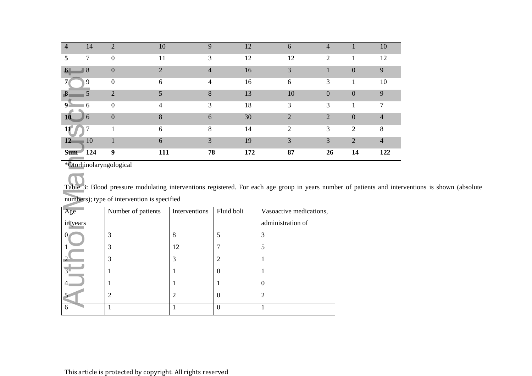| $\overline{4}$ | 14         |                | 10                          | 9              | 12  | 6  | 4        |                  | 10             |
|----------------|------------|----------------|-----------------------------|----------------|-----|----|----------|------------------|----------------|
| 5              | 7          | $\theta$       | 11                          | 3              | 12  | 12 | 2        |                  | 12             |
| 6 <sub>1</sub> | $\sqrt{8}$ | $\theta$       | $\mathcal{D}_{\mathcal{L}}$ | $\overline{4}$ | 16  | 3  |          | $\overline{0}$   | 9              |
|                | 9          | $\overline{0}$ | 6                           | 4              | 16  | 6  | 3        |                  | 10             |
| $\bf{8}$       |            | $\gamma$       |                             | 8              | 13  | 10 | $\theta$ | $\boldsymbol{0}$ | 9              |
| 9 <sup>1</sup> | $\sigma$   | $\Omega$       | 4                           | 3              | 18  | 3  | 3        |                  | 7              |
| <b>10</b>      | 6          | $\overline{0}$ | 8                           | 6              | 30  | 2  | 2        | $\boldsymbol{0}$ | $\overline{4}$ |
| 11             |            |                | 6                           | 8              | 14  | 2  | 3        | $\overline{2}$   | 8              |
| 12             | 10         |                | 6                           | 3              | 19  | 3  | 3        | 2                | $\overline{4}$ |
| <b>Sum</b>     | 124        | 9              | 111                         | 78             | 172 | 87 | 26       | 14               | 122            |

Table 3: Blood pressure modulating interventions registered. For each age group in years number of patients and interventions is shown (absolute numbers); type of intervention is specified

| $8^{\circ}$<br>$\boldsymbol{\theta}$ | $\mathbf{0}$                                                                                                                                | $\mathbf{Z}$   | 4                | 16         | $\mathfrak{Z}$          | 1              |
|--------------------------------------|---------------------------------------------------------------------------------------------------------------------------------------------|----------------|------------------|------------|-------------------------|----------------|
| 9                                    | $\boldsymbol{0}$                                                                                                                            | 6              | $\overline{4}$   | 16         | 6                       | 3              |
| 5<br>$\bf{8}$                        | $\overline{2}$                                                                                                                              | 5              | 8                | 13         | 10                      | $\overline{0}$ |
| $\overline{6}$<br>9 <sub>i</sub>     | $\boldsymbol{0}$                                                                                                                            | $\overline{4}$ | 3                | 18         | 3                       | 3              |
| 1 <sub>0</sub><br>6                  | $\boldsymbol{0}$                                                                                                                            | 8              | 6                | 30         | $\overline{2}$          | $\overline{2}$ |
| 7<br>11                              | $\mathbf{1}$                                                                                                                                | 6              | 8                | 14         | $\overline{2}$          | 3              |
| 10<br>12                             | $\mathbf{1}$                                                                                                                                | 6              | 3                | 19         | 3                       | $\overline{3}$ |
| <b>Sum</b><br>124                    | 9                                                                                                                                           | 111            | 78               | 172        | 87                      | 26             |
|                                      | Table 3: Blood pressure modulating interventions registered. For each age group in years num<br>numbers); type of intervention is specified |                |                  |            |                         |                |
| Age                                  | Number of patients                                                                                                                          | Interventions  |                  | Fluid boli | Vasoactive medications, |                |
| in years                             |                                                                                                                                             |                |                  |            | administration of       |                |
| $\mathbf{0}$                         | 3                                                                                                                                           | 8              | 5                |            | $\overline{3}$          |                |
| $\mathbf{1}$                         | 3                                                                                                                                           | 12             | $\overline{7}$   |            | 5                       |                |
| $\overline{2}$                       | $\overline{3}$                                                                                                                              | $\overline{3}$ | $\overline{2}$   |            | $\mathbf{1}$            |                |
| $\overline{3}$                       | $\mathbf{1}$                                                                                                                                | $\mathbf{1}$   | $\boldsymbol{0}$ |            | $\mathbf{1}$            |                |
| $\overline{4}$                       | $\mathbf{1}$                                                                                                                                | $\mathbf{1}$   | $\mathbf{1}$     |            | $\overline{0}$          |                |
|                                      | $\overline{2}$                                                                                                                              | $\overline{2}$ | $\overline{0}$   |            | $\overline{2}$          |                |
| 6                                    | $\mathbf{1}$                                                                                                                                | $\mathbf{1}$   | $\overline{0}$   |            | 1                       |                |
|                                      |                                                                                                                                             |                |                  |            |                         |                |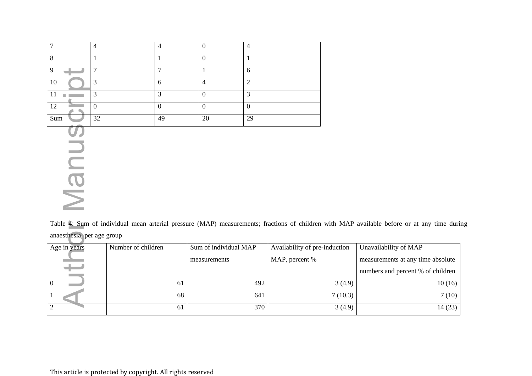|          |    |                 |                | 4  |
|----------|----|-----------------|----------------|----|
| $\Omega$ |    |                 |                |    |
| 0        |    | $\mathbf{\tau}$ |                | 6  |
| 10       |    | h               | $\overline{a}$ | ◠  |
|          |    | ⌒               |                | 2  |
| 12       |    |                 |                |    |
| Sum      | 32 | 49              | 20             | 29 |

**Auther Manuscript** 

Table 4: Sum of individual mean arterial pressure (MAP) measurements; fractions of children with MAP available before or at any time during anaesthesia, per age group

| Age in years | Number of children | Sum of individual MAP | Availability of pre-induction | Unavailability of MAP             |
|--------------|--------------------|-----------------------|-------------------------------|-----------------------------------|
|              |                    | measurements          | MAP, percent %                | measurements at any time absolute |
| -            |                    |                       |                               | numbers and percent % of children |
|              | 61                 | 492                   | 3(4.9)                        | 10(16)                            |
|              | 68                 | 641                   | 7(10.3)                       | 7(10)                             |
|              | 61                 | 370                   | 3(4.9)                        | 14(23)                            |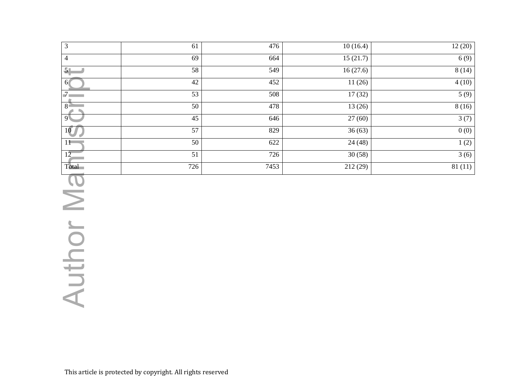| $\overline{3}$                | 61              | 476              | 10(16.4)             | 12(20) |
|-------------------------------|-----------------|------------------|----------------------|--------|
| $\overline{4}$                | 69              | 664              | 15(21.7)             | 6(9)   |
| 5 <sub>1</sub>                | $\overline{58}$ | $\overline{549}$ | 16(27.6)             | 8(14)  |
| 6 <sup>1</sup>                | 42              | 452              | 11(26)               | 4(10)  |
| $\overline{\overline{J}_{k}}$ | 53              | 508              | $\overline{17}$ (32) | 5(9)   |
| 8 <sup>3</sup>                | $\overline{50}$ | 478              | 13(26)               | 8(16)  |
| 9 <sup>1</sup>                | $\overline{45}$ | 646              | 27(60)               | 3(7)   |
| 10                            | $\overline{57}$ | 829              | $\overline{36(63)}$  | 0(0)   |
| $11 -$                        | $\overline{50}$ | 622              | 24(48)               | 1(2)   |
| $\overline{12}$               | $\overline{51}$ | 726              | 30(58)               | 3(6)   |
| Total                         | 726             | 7453             | 212(29)              | 81(11) |
|                               |                 |                  |                      |        |
|                               |                 |                  |                      |        |
|                               |                 |                  |                      |        |
|                               |                 |                  |                      |        |
|                               |                 |                  |                      |        |
| Author Ma                     |                 |                  |                      |        |
|                               |                 |                  |                      |        |
|                               |                 |                  |                      |        |
|                               |                 |                  |                      |        |
|                               |                 |                  |                      |        |
|                               |                 |                  |                      |        |
|                               |                 |                  |                      |        |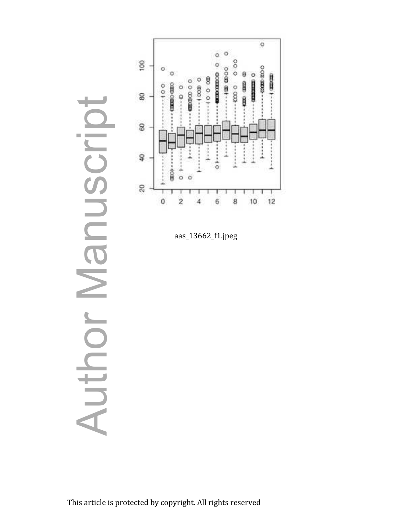

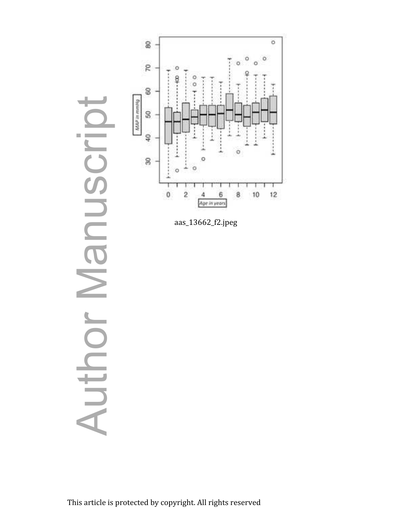